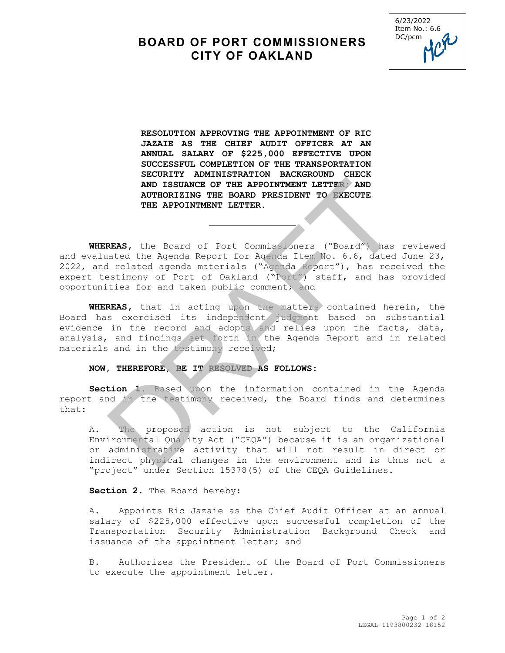## **BOARD OF PORT COMMISSIONERS CITY OF OAKLAND**



**RESOLUTION APPROVING THE APPOINTMENT OF RIC JAZAIE AS THE CHIEF AUDIT OFFICER AT AN ANNUAL SALARY OF \$225,000 EFFECTIVE UPON SUCCESSFUL COMPLETION OF THE TRANSPORTATION SECURITY ADMINISTRATION BACKGROUND CHECK AND ISSUANCE OF THE APPOINTMENT LETTER; AND AUTHORIZING THE BOARD PRESIDENT TO EXECUTE THE APPOINTMENT LETTER.** 

**WHEREAS,** the Board of Port Commissioners ("Board") has reviewed and evaluated the Agenda Report for Agenda Item No. 6.6, dated June 23, 2022, and related agenda materials ("Agenda Report"), has received the expert testimony of Port of Oakland ("Port") staff, and has provided opportunities for and taken public comment; and AND ISSUANCE OF THE APPOINTMENT LETTER AND<br>AUTHORIZING THE BOARD PRESIDENT TO EXECUTE<br>THE APPOINTMENT LETTER.<br>
THE APPOINTMENT LETTER.<br>
REAS, the Board of Port Communisioners ("Board") has<br>
irelated agenda materials ("Agen

\_\_\_\_\_\_\_\_\_\_\_\_\_\_\_\_

**WHEREAS,** that in acting upon the matters contained herein, the Board has exercised its independent judgment based on substantial evidence in the record and adopts and relies upon the facts, data, analysis, and findings set forth in the Agenda Report and in related materials and in the testimony received;

## **NOW, THEREFORE, BE IT RESOLVED AS FOLLOWS:**

**Section 1.** Based upon the information contained in the Agenda report and in the testimony received, the Board finds and determines that:

A. The proposed action is not subject to the California Environmental Quality Act ("CEQA") because it is an organizational or administrative activity that will not result in direct or indirect physical changes in the environment and is thus not a "project" under Section 15378(5) of the CEQA Guidelines.

## Section 2. The Board hereby:

A. Appoints Ric Jazaie as the Chief Audit Officer at an annual salary of \$225,000 effective upon successful completion of the Transportation Security Administration Background Check and issuance of the appointment letter; and

B. Authorizes the President of the Board of Port Commissioners to execute the appointment letter.